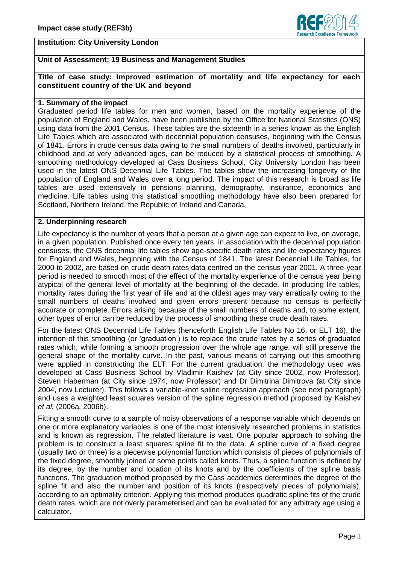

## **Institution: City University London**

# **Unit of Assessment: 19 Business and Management Studies**

## **Title of case study: Improved estimation of mortality and life expectancy for each constituent country of the UK and beyond**

## **1. Summary of the impact**

Graduated period life tables for men and women, based on the mortality experience of the population of England and Wales, have been published by the Office for National Statistics (ONS) using data from the 2001 Census. These tables are the sixteenth in a series known as the English Life Tables which are associated with decennial population censuses, beginning with the Census of 1841. Errors in crude census data owing to the small numbers of deaths involved, particularly in childhood and at very advanced ages, can be reduced by a statistical process of smoothing. A smoothing methodology developed at Cass Business School, City University London has been used in the latest ONS Decennial Life Tables. The tables show the increasing longevity of the population of England and Wales over a long period. The impact of this research is broad as life tables are used extensively in pensions planning, demography, insurance, economics and medicine. Life tables using this statistical smoothing methodology have also been prepared for Scotland, Northern Ireland, the Republic of Ireland and Canada.

## **2. Underpinning research**

Life expectancy is the number of years that a person at a given age can expect to live, on average, in a given population. Published once every ten years, in association with the decennial population censuses, the ONS decennial life tables show age-specific death rates and life expectancy figures for England and Wales, beginning with the Census of 1841. The latest Decennial Life Tables, for 2000 to 2002, are based on crude death rates data centred on the census year 2001. A three-year period is needed to smooth most of the effect of the mortality experience of the census year being atypical of the general level of mortality at the beginning of the decade. In producing life tables, mortality rates during the first year of life and at the oldest ages may vary erratically owing to the small numbers of deaths involved and given errors present because no census is perfectly accurate or complete. Errors arising because of the small numbers of deaths and, to some extent, other types of error can be reduced by the process of smoothing these crude death rates.

For the latest ONS Decennial Life Tables (henceforth English Life Tables No 16, or ELT 16), the intention of this smoothing (or 'graduation') is to replace the crude rates by a series of graduated rates which, while forming a smooth progression over the whole age range, will still preserve the general shape of the mortality curve. In the past, various means of carrying out this smoothing were applied in constructing the ELT. For the current graduation, the methodology used was developed at Cass Business School by Vladimir Kaishev (at City since 2002, now Professor), Steven Haberman (at City since 1974, now Professor) and Dr Dimitrina Dimitrova (at City since 2004, now Lecturer). This follows a variable-knot spline regression approach (see next paragraph) and uses a weighted least squares version of the spline regression method proposed by Kaishev *et al.* (2006a, 2006b).

Fitting a smooth curve to a sample of noisy observations of a response variable which depends on one or more explanatory variables is one of the most intensively researched problems in statistics and is known as regression. The related literature is vast. One popular approach to solving the problem is to construct a least squares spline fit to the data. A spline curve of a fixed degree (usually two or three) is a piecewise polynomial function which consists of pieces of polynomials of the fixed degree, smoothly joined at some points called knots. Thus, a spline function is defined by its degree, by the number and location of its knots and by the coefficients of the spline basis functions. The graduation method proposed by the Cass academics determines the degree of the spline fit and also the number and position of its knots (respectively pieces of polynomials), according to an optimality criterion. Applying this method produces quadratic spline fits of the crude death rates, which are not overly parameterised and can be evaluated for any arbitrary age using a calculator.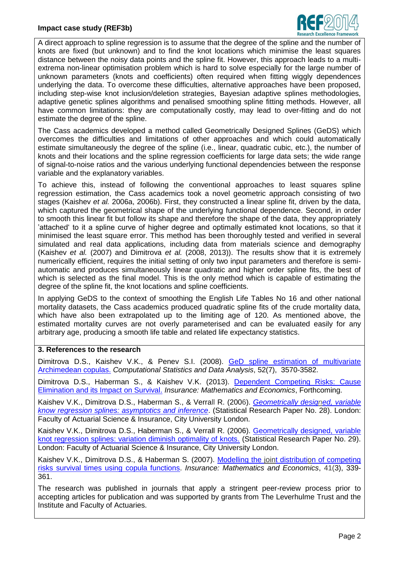

A direct approach to spline regression is to assume that the degree of the spline and the number of knots are fixed (but unknown) and to find the knot locations which minimise the least squares distance between the noisy data points and the spline fit. However, this approach leads to a multiextrema non-linear optimisation problem which is hard to solve especially for the large number of unknown parameters (knots and coefficients) often required when fitting wiggly dependences underlying the data. To overcome these difficulties, alternative approaches have been proposed, including step-wise knot inclusion/deletion strategies, Bayesian adaptive splines methodologies, adaptive genetic splines algorithms and penalised smoothing spline fitting methods. However, all have common limitations: they are computationally costly, may lead to over-fitting and do not estimate the degree of the spline.

The Cass academics developed a method called Geometrically Designed Splines (GeDS) which overcomes the difficulties and limitations of other approaches and which could automatically estimate simultaneously the degree of the spline (i.e., linear, quadratic cubic, etc.), the number of knots and their locations and the spline regression coefficients for large data sets; the wide range of signal-to-noise ratios and the various underlying functional dependencies between the response variable and the explanatory variables.

To achieve this, instead of following the conventional approaches to least squares spline regression estimation, the Cass academics took a novel geometric approach consisting of two stages (Kaishev *et al.* 2006a, 2006b). First, they constructed a linear spline fit, driven by the data, which captured the geometrical shape of the underlying functional dependence. Second, in order to smooth this linear fit but follow its shape and therefore the shape of the data, they appropriately 'attached' to it a spline curve of higher degree and optimally estimated knot locations, so that it minimised the least square error. This method has been thoroughly tested and verified in several simulated and real data applications, including data from materials science and demography (Kaishev *et al.* (2007) and Dimitrova *et al.* (2008, 2013)). The results show that it is extremely numerically efficient, requires the initial setting of only two input parameters and therefore is semiautomatic and produces simultaneously linear quadratic and higher order spline fits, the best of which is selected as the final model. This is the only method which is capable of estimating the degree of the spline fit, the knot locations and spline coefficients.

In applying GeDS to the context of smoothing the English Life Tables No 16 and other national mortality datasets, the Cass academics produced quadratic spline fits of the crude mortality data, which have also been extrapolated up to the limiting age of 120. As mentioned above, the estimated mortality curves are not overly parameterised and can be evaluated easily for any arbitrary age, producing a smooth life table and related life expectancy statistics.

## **3. References to the research**

Dimitrova D.S., Kaishev V.K., & Penev S.I. (2008). [GeD spline estimation of multivariate](http://dx.doi.org/10.1016/j.csda.2007.11.010)  [Archimedean copulas.](http://dx.doi.org/10.1016/j.csda.2007.11.010) *Computational Statistics and Data Analysis*, 52(7), 3570-3582.

Dimitrova D.S., Haberman S., & Kaishev V.K. (2013). Dependent Competing Risks: Cause [Elimination and its Impact on Survival.](http://www.sciencedirect.com/science/article/pii/S016766871300108X) *Insurance: Mathematics and Economics*, Forthcoming.

Kaishev V.K., Dimitrova D.S., Haberman S., & Verrall R. (2006). *[Geometrically designed, variable](http://www.cass.city.ac.uk/__data/assets/pdf_file/0017/37214/28-StatsReport.pdf)  [know regression splines: asymptotics and inference](http://www.cass.city.ac.uk/__data/assets/pdf_file/0017/37214/28-StatsReport.pdf)*. (Statistical Research Paper No. 28). London: Faculty of Actuarial Science & Insurance, City University London.

Kaishev V.K., Dimitrova D.S., Haberman S., & Verrall R. (2006). [Geometrically designed, variable](http://www.cass.city.ac.uk/__data/assets/pdf_file/0018/37215/29-StatResRep.pdf)  [knot regression splines: variation diminish optimality of knots.](http://www.cass.city.ac.uk/__data/assets/pdf_file/0018/37215/29-StatResRep.pdf) (Statistical Research Paper No. 29). London: Faculty of Actuarial Science & Insurance, City University London.

Kaishev V.K., Dimitrova D.S., & Haberman S. (2007). [Modelling the joint distribution of competing](http://dx.doi.org/10.1016/j.insmatheco.2006.11.006)  [risks survival times using copula functions.](http://dx.doi.org/10.1016/j.insmatheco.2006.11.006) *Insurance: Mathematics and Economics*, 41(3), 339- 361.

The research was published in journals that apply a stringent peer-review process prior to accepting articles for publication and was supported by grants from The Leverhulme Trust and the Institute and Faculty of Actuaries.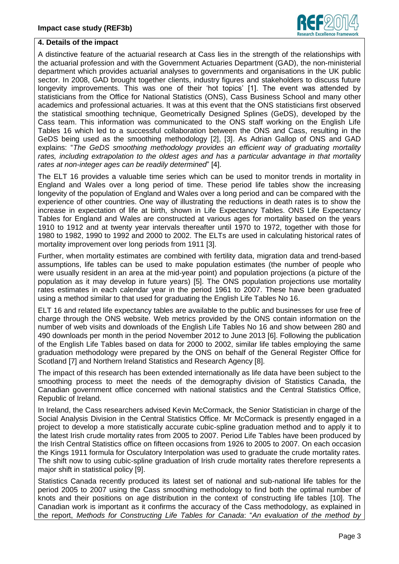

### **4. Details of the impact**

A distinctive feature of the actuarial research at Cass lies in the strength of the relationships with the actuarial profession and with the Government Actuaries Department (GAD), the non-ministerial department which provides actuarial analyses to governments and organisations in the UK public sector. In 2008, GAD brought together clients, industry figures and stakeholders to discuss future longevity improvements. This was one of their 'hot topics' [1]. The event was attended by statisticians from the Office for National Statistics (ONS), Cass Business School and many other academics and professional actuaries. It was at this event that the ONS statisticians first observed the statistical smoothing technique, Geometrically Designed Splines (GeDS), developed by the Cass team. This information was communicated to the ONS staff working on the English Life Tables 16 which led to a successful collaboration between the ONS and Cass, resulting in the GeDS being used as the smoothing methodology [2], [3]. As Adrian Gallop of ONS and GAD explains: "*The GeDS smoothing methodology provides an efficient way of graduating mortality rates, including extrapolation to the oldest ages and has a particular advantage in that mortality rates at non-integer ages can be readily determined*" [4].

The ELT 16 provides a valuable time series which can be used to monitor trends in mortality in England and Wales over a long period of time. These period life tables show the increasing longevity of the population of England and Wales over a long period and can be compared with the experience of other countries. One way of illustrating the reductions in death rates is to show the increase in expectation of life at birth, shown in Life Expectancy Tables. ONS Life Expectancy Tables for England and Wales are constructed at various ages for mortality based on the years 1910 to 1912 and at twenty year intervals thereafter until 1970 to 1972, together with those for 1980 to 1982, 1990 to 1992 and 2000 to 2002. The ELTs are used in calculating historical rates of mortality improvement over long periods from 1911 [3].

Further, when mortality estimates are combined with fertility data, migration data and trend-based assumptions, life tables can be used to make population estimates (the number of people who were usually resident in an area at the mid-year point) and population projections (a picture of the population as it may develop in future years) [5]. The ONS population projections use mortality rates estimates in each calendar year in the period 1961 to 2007. These have been graduated using a method similar to that used for graduating the English Life Tables No 16.

ELT 16 and related life expectancy tables are available to the public and businesses for use free of charge through the ONS website. Web metrics provided by the ONS contain information on the number of web visits and downloads of the English Life Tables No 16 and show between 280 and 490 downloads per month in the period November 2012 to June 2013 [6]. Following the publication of the English Life Tables based on data for 2000 to 2002, similar life tables employing the same graduation methodology were prepared by the ONS on behalf of the General Register Office for Scotland [7] and Northern Ireland Statistics and Research Agency [8].

The impact of this research has been extended internationally as life data have been subject to the smoothing process to meet the needs of the demography division of Statistics Canada, the Canadian government office concerned with national statistics and the Central Statistics Office, Republic of Ireland.

In Ireland, the Cass researchers advised Kevin McCormack, the Senior Statistician in charge of the Social Analysis Division in the Central Statistics Office. Mr McCormack is presently engaged in a project to develop a more statistically accurate cubic-spline graduation method and to apply it to the latest Irish crude mortality rates from 2005 to 2007. Period Life Tables have been produced by the Irish Central Statistics office on fifteen occasions from 1926 to 2005 to 2007. On each occasion the Kings 1911 formula for Osculatory Interpolation was used to graduate the crude mortality rates. The shift now to using cubic-spline graduation of Irish crude mortality rates therefore represents a major shift in statistical policy [9].

Statistics Canada recently produced its latest set of national and sub-national life tables for the period 2005 to 2007 using the Cass smoothing methodology to find both the optimal number of knots and their positions on age distribution in the context of constructing life tables [10]. The Canadian work is important as it confirms the accuracy of the Cass methodology, as explained in the report, *Methods for Constructing Life Tables for Canada*: "*An evaluation of the method by*